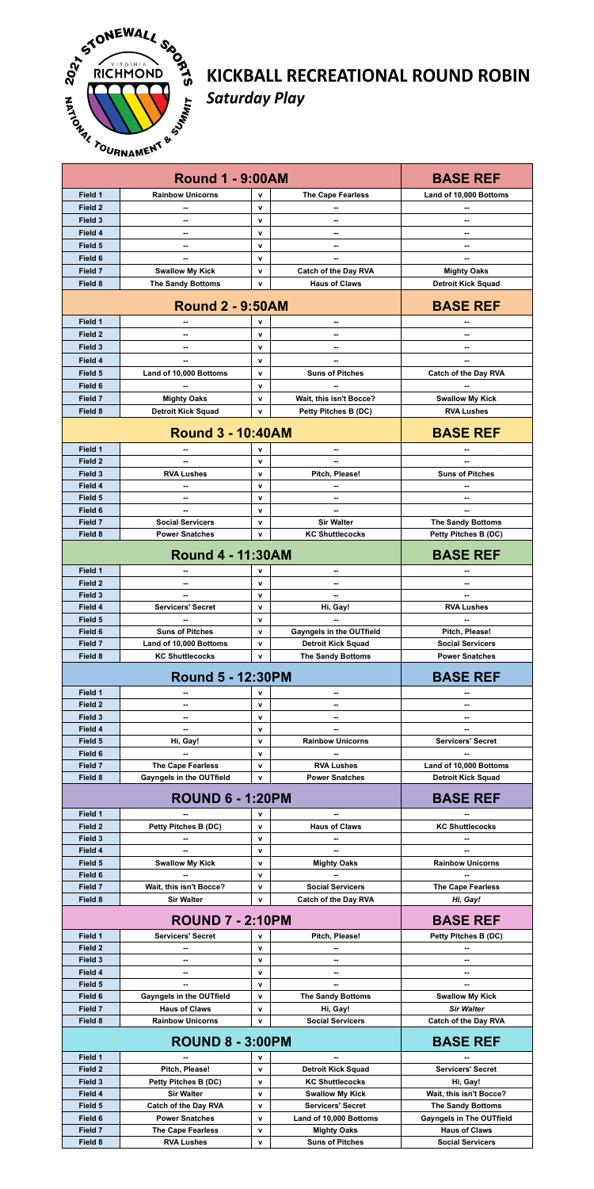

## KICKBALL RECREATIONAL ROUND ROBIN **Saturday Play**

|                    | <b>Round 1 - 9:00AM</b>                              |                              |                                                    | <b>BASE REF</b>                                         |
|--------------------|------------------------------------------------------|------------------------------|----------------------------------------------------|---------------------------------------------------------|
| Field 1            | <b>Rainbow Unicorns</b>                              | v                            | <b>The Cape Fearless</b>                           | Land of 10,000 Bottoms                                  |
| Field 2            | --                                                   | $\mathbf v$                  |                                                    |                                                         |
| Field 3            |                                                      | $\mathbf v$                  |                                                    |                                                         |
| Field 4            |                                                      | $\mathbf v$                  | --                                                 | --                                                      |
| Field 5            |                                                      | $\mathbf v$                  |                                                    |                                                         |
| Field 6            | $\overline{\phantom{a}}$                             | $\mathbf{v}$                 | --                                                 | --                                                      |
| Field 7            | <b>Swallow My Kick</b>                               | $\mathbf{v}$                 | <b>Catch of the Day RVA</b>                        | <b>Mighty Oaks</b>                                      |
| Field 8            | <b>The Sandy Bottoms</b>                             | $\mathbf{v}$                 | <b>Haus of Claws</b>                               | <b>Detroit Kick Squad</b>                               |
|                    | <b>Round 2 - 9:50AM</b>                              |                              |                                                    | <b>BASE REF</b>                                         |
| Field 1            |                                                      | v                            | --                                                 |                                                         |
| Field <sub>2</sub> |                                                      | $\mathbf v$                  |                                                    |                                                         |
| Field 3            | $\overline{\phantom{a}}$                             | $\mathbf{v}$                 | --                                                 | --                                                      |
| Field 4            |                                                      | $\mathbf{v}$                 |                                                    | --                                                      |
| Field 5            | Land of 10,000 Bottoms                               | $\mathbf v$                  | <b>Suns of Pitches</b>                             | <b>Catch of the Day RVA</b>                             |
| Field 6<br>Field 7 | <b>Mighty Oaks</b>                                   | $\mathbf v$<br>$\mathbf{v}$  | --<br>Wait, this isn't Bocce?                      | <b>Swallow My Kick</b>                                  |
| Field 8            | <b>Detroit Kick Squad</b>                            | $\mathbf v$                  | <b>Petty Pitches B (DC)</b>                        | <b>RVA Lushes</b>                                       |
|                    |                                                      |                              |                                                    |                                                         |
|                    | <b>Round 3 - 10:40AM</b>                             |                              |                                                    | <b>BASE REF</b>                                         |
| Field 1            |                                                      | $\mathbf v$                  | --                                                 |                                                         |
| Field 2<br>Field 3 | $\overline{\phantom{a}}$<br><b>RVA Lushes</b>        | $\mathbf{v}$<br>$\mathbf v$  | --<br>Pitch, Please!                               | --<br><b>Suns of Pitches</b>                            |
| Field 4            | --                                                   | $\mathbf v$                  | --                                                 | $\overline{\phantom{a}}$                                |
| Field 5            |                                                      | $\mathbf{v}$                 | --                                                 | --                                                      |
| Field 6            |                                                      | $\mathbf v$                  |                                                    |                                                         |
| Field 7            | <b>Social Servicers</b>                              | $\mathbf{v}$                 | <b>Sir Walter</b>                                  | <b>The Sandy Bottoms</b>                                |
| Field 8            | <b>Power Snatches</b>                                | $\mathbf v$                  | <b>KC Shuttlecocks</b>                             | <b>Petty Pitches B (DC)</b>                             |
|                    | <b>Round 4 - 11:30AM</b>                             |                              |                                                    | <b>BASE REF</b>                                         |
| Field 1            | --                                                   | $\mathbf v$                  | --                                                 | --                                                      |
| Field 2            |                                                      | $\mathbf v$                  | --                                                 |                                                         |
| Field 3            | $-$<br><b>Servicers' Secret</b>                      | $\mathbf{v}$                 | -−                                                 | --                                                      |
| Field 4<br>Field 5 |                                                      | $\mathbf{v}$<br>$\mathbf v$  | Hi, Gay!                                           | <b>RVA Lushes</b>                                       |
| Field 6            | <b>Suns of Pitches</b>                               | $\mathbf{v}$                 | <b>Gayngels in the OUTfield</b>                    | Pitch, Please!                                          |
| Field 7            | Land of 10,000 Bottoms                               | $\mathbf{v}$                 | <b>Detroit Kick Squad</b>                          | <b>Social Servicers</b>                                 |
| Field 8            | <b>KC Shuttlecocks</b>                               | $\mathbf{v}$                 | <b>The Sandy Bottoms</b>                           | <b>Power Snatches</b>                                   |
|                    | <b>Round 5 - 12:30PM</b>                             |                              |                                                    | <b>BASE REF</b>                                         |
| Field 1            |                                                      | v                            | --                                                 |                                                         |
|                    |                                                      |                              |                                                    |                                                         |
| Field 2            | $\overline{\phantom{a}}$                             | $\mathbf{v}$                 | --                                                 | --                                                      |
| Field 3            | ۰.                                                   | $\mathbf{v}$                 |                                                    |                                                         |
| Field 4            | --                                                   | $\mathbf{v}$<br>$\mathbf{v}$ | --                                                 | -−                                                      |
| Field 5<br>Field 6 | Hi, Gay!                                             | $\mathbf v$                  | <b>Rainbow Unicorns</b>                            | <b>Servicers' Secret</b>                                |
| Field 7            | <b>The Cape Fearless</b>                             | $\mathbf{v}$                 | <b>RVA Lushes</b>                                  | Land of 10,000 Bottoms                                  |
| Field 8            | <b>Gayngels in the OUTfield</b>                      | $\mathbf{v}$                 | <b>Power Snatches</b>                              | <b>Detroit Kick Squad</b>                               |
|                    | <b>ROUND 6 - 1:20PM</b>                              |                              |                                                    | <b>BASE REF</b>                                         |
| Field 1            |                                                      | $\mathbf v$                  | --                                                 |                                                         |
| Field 2            | <b>Petty Pitches B (DC)</b>                          | $\mathbf v$                  | <b>Haus of Claws</b>                               | <b>KC Shuttlecocks</b>                                  |
| Field 3            | ۰.                                                   | $\mathbf{v}$                 | --                                                 | --                                                      |
| Field 4<br>Field 5 | $-$                                                  | $\mathbf{v}$<br>$\mathbf{v}$ | --                                                 | <b>Rainbow Unicorns</b>                                 |
| Field 6            | <b>Swallow My Kick</b>                               | $\mathbf{v}$                 | <b>Mighty Oaks</b>                                 |                                                         |
| Field 7            | Wait, this isn't Bocce?                              | v                            | <b>Social Servicers</b>                            | <b>The Cape Fearless</b>                                |
| Field 8            | <b>Sir Walter</b>                                    | $\mathbf v$                  | <b>Catch of the Day RVA</b>                        | Hi, Gay!                                                |
|                    | <b>ROUND 7 - 2:10PM</b>                              |                              |                                                    | <b>BASE REF</b>                                         |
| Field 1            | <b>Servicers' Secret</b>                             | v                            | Pitch, Please!                                     | <b>Petty Pitches B (DC)</b>                             |
| Field 2            |                                                      | $\mathbf{v}$                 |                                                    |                                                         |
| Field 3            | --                                                   | $\mathbf{v}$                 | --                                                 | --                                                      |
| Field 4            | ۰.                                                   | $\mathbf v$                  | --                                                 | --                                                      |
| Field 5<br>Field 6 | ۰.<br><b>Gayngels in the OUTfield</b>                | $\mathbf{v}$<br>v            | --<br><b>The Sandy Bottoms</b>                     | -−<br><b>Swallow My Kick</b>                            |
| Field 7            | <b>Haus of Claws</b>                                 | $\mathbf v$                  | Hi, Gay!                                           | <b>Sir Walter</b>                                       |
| Field 8            | <b>Rainbow Unicorns</b>                              | $\mathbf v$                  | <b>Social Servicers</b>                            | <b>Catch of the Day RVA</b>                             |
|                    | <b>ROUND 8 - 3:00PM</b>                              |                              |                                                    | <b>BASE REF</b>                                         |
| Field 1            |                                                      | v                            |                                                    |                                                         |
| Field 2            | Pitch, Please!                                       | v                            | <b>Detroit Kick Squad</b>                          | <b>Servicers' Secret</b>                                |
| Field 3            | <b>Petty Pitches B (DC)</b>                          | $\mathbf v$                  | <b>KC Shuttlecocks</b>                             | Hi, Gay!                                                |
| Field 4            | <b>Sir Walter</b>                                    | $\mathbf v$                  | <b>Swallow My Kick</b>                             | Wait, this isn't Bocce?                                 |
| Field 5<br>Field 6 | <b>Catch of the Day RVA</b><br><b>Power Snatches</b> | $\mathbf v$<br>$\mathbf v$   | <b>Servicers' Secret</b><br>Land of 10,000 Bottoms | <b>The Sandy Bottoms</b>                                |
| Field 7            | <b>The Cape Fearless</b>                             | $\mathbf v$                  | <b>Mighty Oaks</b>                                 | <b>Gayngels in The OUTfield</b><br><b>Haus of Claws</b> |